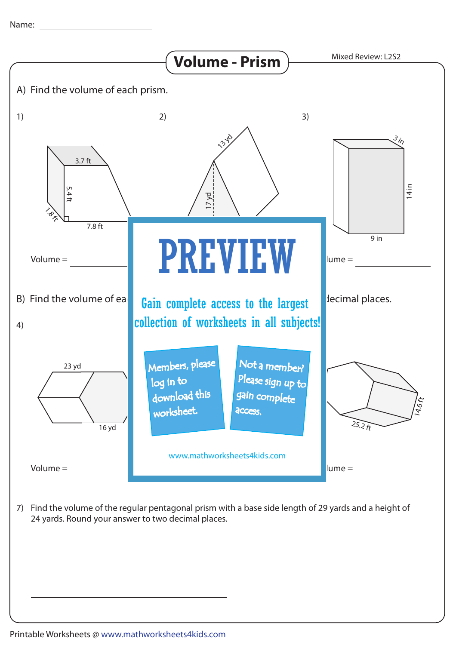

7) Find the volume of the regular pentagonal prism with a base side length of 29 yards and a height of 24 yards. Round your answer to two decimal places.